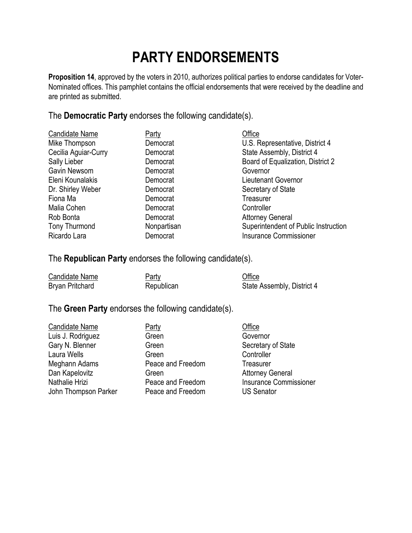## **PARTY ENDORSEMENTS**

**Proposition 14**, approved by the voters in 2010, authorizes political parties to endorse candidates for Voter-Nominated offices. This pamphlet contains the official endorsements that were received by the deadline and are printed as submitted.

The **Democratic Party** endorses the following candidate(s).

| Candidate Name       | <b>Party</b> | Office                               |
|----------------------|--------------|--------------------------------------|
| Mike Thompson        | Democrat     | U.S. Representative, District 4      |
| Cecilia Aguiar-Curry | Democrat     | State Assembly, District 4           |
| Sally Lieber         | Democrat     | Board of Equalization, District 2    |
| Gavin Newsom         | Democrat     | Governor                             |
| Eleni Kounalakis     | Democrat     | Lieutenant Governor                  |
| Dr. Shirley Weber    | Democrat     | Secretary of State                   |
| Fiona Ma             | Democrat     | Treasurer                            |
| Malia Cohen          | Democrat     | Controller                           |
| Rob Bonta            | Democrat     | <b>Attorney General</b>              |
| Tony Thurmond        | Nonpartisan  | Superintendent of Public Instruction |
| Ricardo Lara         | Democrat     | <b>Insurance Commissioner</b>        |

The **Republican Party** endorses the following candidate(s).

| Candidate Name  | <u>Party</u> | Office                     |
|-----------------|--------------|----------------------------|
| Bryan Pritchard | Republican   | State Assembly, District 4 |

## The **Green Party** endorses the following candidate(s).

| <b>Candidate Name</b> | Party             | Office       |
|-----------------------|-------------------|--------------|
| Luis J. Rodriguez     | Green             | Gover        |
| Gary N. Blenner       | Green             | Secre        |
| Laura Wells           | Green             | Contro       |
| Meghann Adams         | Peace and Freedom | <b>Treas</b> |
| Dan Kapelovitz        | Green             | Attorn       |
| Nathalie Hrizi        | Peace and Freedom | Insura       |
| John Thompson Parker  | Peace and Freedom | USS6         |

Creen Governor<br>Creen Green Green Geretary Green Controller Peace and Freedom Treasurer Green Green Attorney General<br>
Peace and Freedom Busurance Commi Peace and Freedom US Senator

Secretary of State Insurance Commissioner